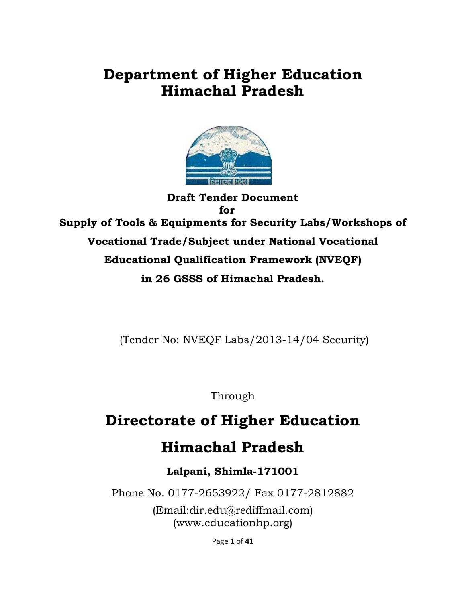# **Department of Higher Education Himachal Pradesh**



**Draft Tender Document for Supply of Tools & Equipments for Security Labs/Workshops of Vocational Trade/Subject under National Vocational Educational Qualification Framework (NVEQF) in 26 GSSS of Himachal Pradesh.** 

(Tender No: NVEQF Labs/2013-14/04 Security)

Through

# **Directorate of Higher Education**

# **Himachal Pradesh**

# **Lalpani, Shimla-171001**

Phone No. 0177-2653922/ Fax 0177-2812882

(Email:dir.edu@rediffmail.com) (www.educationhp.org)

Page **1** of **41**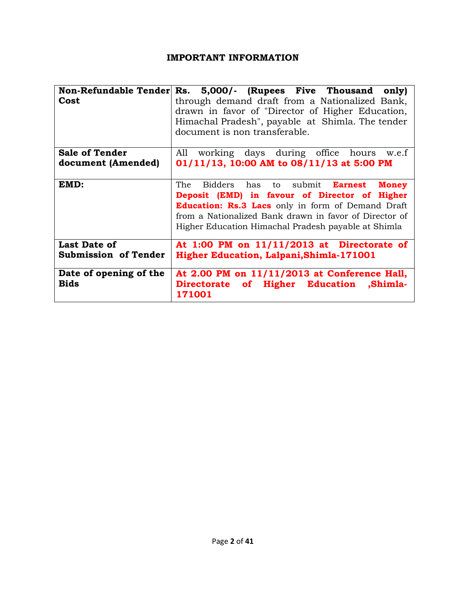#### **IMPORTANT INFORMATION**

|                             | Non-Refundable Tender Rs. 5,000/- (Rupees Five Thousand<br>only)                                   |  |  |  |  |  |
|-----------------------------|----------------------------------------------------------------------------------------------------|--|--|--|--|--|
| Cost                        | through demand draft from a Nationalized Bank,<br>drawn in favor of "Director of Higher Education, |  |  |  |  |  |
|                             | Himachal Pradesh", payable at Shimla. The tender                                                   |  |  |  |  |  |
|                             | document is non transferable.                                                                      |  |  |  |  |  |
|                             |                                                                                                    |  |  |  |  |  |
| <b>Sale of Tender</b>       | working days during office hours w.e.f<br>All                                                      |  |  |  |  |  |
| document (Amended)          | 01/11/13, 10:00 AM to 08/11/13 at 5:00 PM                                                          |  |  |  |  |  |
|                             |                                                                                                    |  |  |  |  |  |
| EMD:                        | The<br>Bidders has to submit <b>Earnest</b><br><b>Money</b>                                        |  |  |  |  |  |
|                             | Deposit (EMD) in favour of Director of Higher                                                      |  |  |  |  |  |
|                             | <b>Education: Rs.3 Lacs</b> only in form of Demand Draft                                           |  |  |  |  |  |
|                             | from a Nationalized Bank drawn in favor of Director of                                             |  |  |  |  |  |
|                             | Higher Education Himachal Pradesh payable at Shimla                                                |  |  |  |  |  |
| <b>Last Date of</b>         | At $1:00$ PM on $11/11/2013$ at Directorate of                                                     |  |  |  |  |  |
| <b>Submission of Tender</b> | <b>Higher Education, Lalpani, Shimla-171001</b>                                                    |  |  |  |  |  |
| Date of opening of the      | At 2.00 PM on 11/11/2013 at Conference Hall,                                                       |  |  |  |  |  |
| <b>Bids</b>                 | Directorate of Higher Education ,Shimla-<br>171001                                                 |  |  |  |  |  |
|                             |                                                                                                    |  |  |  |  |  |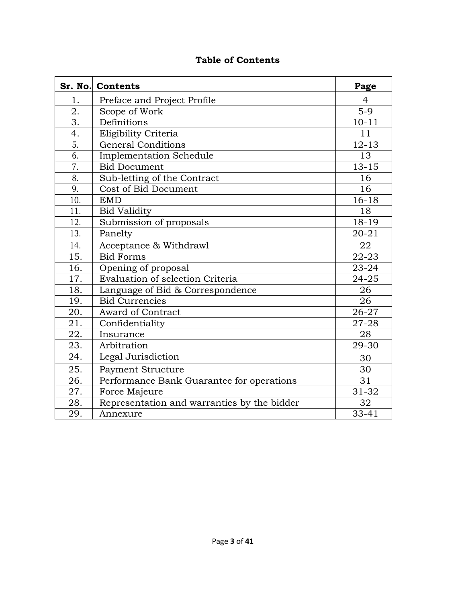|                  | Sr. No. Contents                            | Page      |
|------------------|---------------------------------------------|-----------|
| 1.               | Preface and Project Profile                 | 4         |
| 2.               | Scope of Work                               | $5-9$     |
| 3.               | Definitions                                 | $10 - 11$ |
| 4.               | Eligibility Criteria                        | 11        |
| $\overline{5}$ . | <b>General Conditions</b>                   | $12 - 13$ |
| $\overline{6}$ . | <b>Implementation Schedule</b>              | 13        |
| 7.               | <b>Bid Document</b>                         | $13 - 15$ |
| 8.               | Sub-letting of the Contract                 | 16        |
| 9.               | Cost of Bid Document                        | 16        |
| 10.              | <b>EMD</b>                                  | $16 - 18$ |
| 11.              | <b>Bid Validity</b>                         | 18        |
| 12.              | Submission of proposals                     | 18-19     |
| 13.              | Panelty                                     | $20 - 21$ |
| 14.              | Acceptance & Withdrawl                      | 22        |
| 15.              | <b>Bid Forms</b>                            | $22 - 23$ |
| 16.              | Opening of proposal                         | 23-24     |
| 17.              | Evaluation of selection Criteria            | $24 - 25$ |
| 18.              | Language of Bid & Correspondence            | 26        |
| 19.              | <b>Bid Currencies</b>                       | 26        |
| 20.              | <b>Award of Contract</b>                    | 26-27     |
| 21.              | Confidentiality                             | 27-28     |
| 22.              | Insurance                                   | 28        |
| 23.              | Arbitration                                 | 29-30     |
| 24.              | Legal Jurisdiction                          | 30        |
| 25.              | Payment Structure                           | 30        |
| 26.              | Performance Bank Guarantee for operations   | 31        |
| 27.              | Force Majeure                               | 31-32     |
| 28.              | Representation and warranties by the bidder | 32        |
| 29.              | Annexure                                    | $33 - 41$ |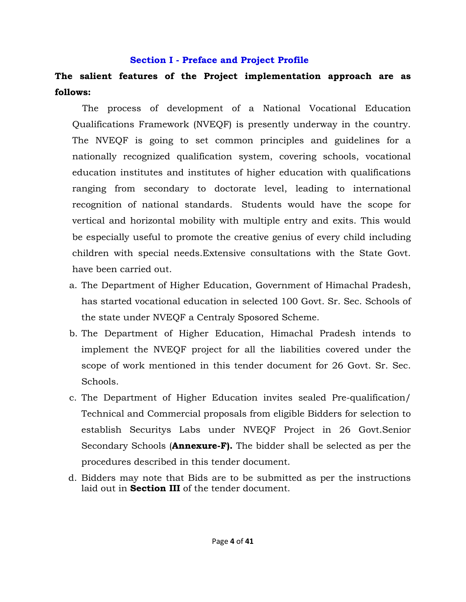#### **Section I - Preface and Project Profile**

# **The salient features of the Project implementation approach are as follows:**

The process of development of a National Vocational Education Qualifications Framework (NVEQF) is presently underway in the country. The NVEQF is going to set common principles and guidelines for a nationally recognized qualification system, covering schools, vocational education institutes and institutes of higher education with qualifications ranging from secondary to doctorate level, leading to international recognition of national standards. Students would have the scope for vertical and horizontal mobility with multiple entry and exits. This would be especially useful to promote the creative genius of every child including children with special needs.Extensive consultations with the State Govt. have been carried out.

- a. The Department of Higher Education, Government of Himachal Pradesh, has started vocational education in selected 100 Govt. Sr. Sec. Schools of the state under NVEQF a Centraly Sposored Scheme.
- b. The Department of Higher Education, Himachal Pradesh intends to implement the NVEQF project for all the liabilities covered under the scope of work mentioned in this tender document for 26 Govt. Sr. Sec. Schools.
- c. The Department of Higher Education invites sealed Pre-qualification/ Technical and Commercial proposals from eligible Bidders for selection to establish Securitys Labs under NVEQF Project in 26 Govt.Senior Secondary Schools (**Annexure-F).** The bidder shall be selected as per the procedures described in this tender document.
- d. Bidders may note that Bids are to be submitted as per the instructions laid out in **Section III** of the tender document.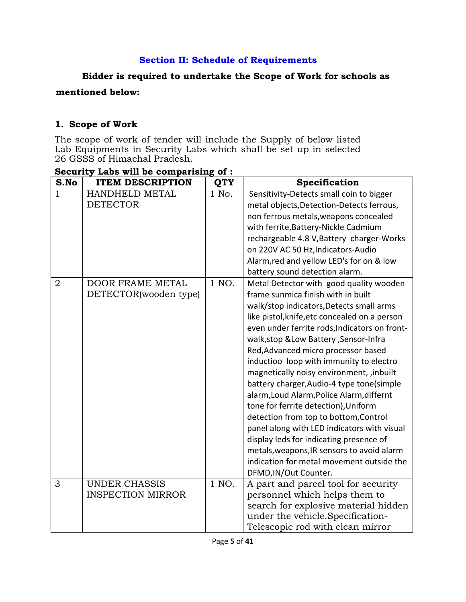### **Section II: Schedule of Requirements**

# **Bidder is required to undertake the Scope of Work for schools as**

### **mentioned below:**

# **1. Scope of Work**

The scope of work of tender will include the Supply of below listed Lab Equipments in Security Labs which shall be set up in selected 26 GSSS of Himachal Pradesh.

| S.No           | <b>ITEM DESCRIPTION</b>  | <b>QTY</b> | Specification                                 |  |  |
|----------------|--------------------------|------------|-----------------------------------------------|--|--|
| $\mathbf{1}$   | HANDHELD METAL           | 1 No.      | Sensitivity-Detects small coin to bigger      |  |  |
|                | <b>DETECTOR</b>          |            | metal objects, Detection-Detects ferrous,     |  |  |
|                |                          |            | non ferrous metals, weapons concealed         |  |  |
|                |                          |            | with ferrite, Battery-Nickle Cadmium          |  |  |
|                |                          |            | rechargeable 4.8 V, Battery charger-Works     |  |  |
|                |                          |            | on 220V AC 50 Hz, Indicators-Audio            |  |  |
|                |                          |            | Alarm, red and yellow LED's for on & low      |  |  |
|                |                          |            | battery sound detection alarm.                |  |  |
| $\overline{2}$ | <b>DOOR FRAME METAL</b>  | 1 NO.      | Metal Detector with good quality wooden       |  |  |
|                | DETECTOR(wooden type)    |            | frame sunmica finish with in built            |  |  |
|                |                          |            | walk/stop indicators, Detects small arms      |  |  |
|                |                          |            | like pistol, knife, etc concealed on a person |  |  |
|                |                          |            | even under ferrite rods, Indicators on front- |  |  |
|                |                          |            | walk, stop & Low Battery, Sensor-Infra        |  |  |
|                |                          |            | Red, Advanced micro processor based           |  |  |
|                |                          |            | inductioo loop with immunity to electro       |  |  |
|                |                          |            | magnetically noisy environment, , inbuilt     |  |  |
|                |                          |            | battery charger, Audio-4 type tone(simple     |  |  |
|                |                          |            | alarm, Loud Alarm, Police Alarm, differnt     |  |  |
|                |                          |            | tone for ferrite detection), Uniform          |  |  |
|                |                          |            | detection from top to bottom, Control         |  |  |
|                |                          |            | panel along with LED indicators with visual   |  |  |
|                |                          |            | display leds for indicating presence of       |  |  |
|                |                          |            | metals, weapons, IR sensors to avoid alarm    |  |  |
|                |                          |            | indication for metal movement outside the     |  |  |
|                |                          |            | DFMD, IN/Out Counter.                         |  |  |
| 3              | <b>UNDER CHASSIS</b>     | 1 NO.      | A part and parcel tool for security           |  |  |
|                | <b>INSPECTION MIRROR</b> |            | personnel which helps them to                 |  |  |
|                |                          |            | search for explosive material hidden          |  |  |
|                |                          |            | under the vehicle.Specification-              |  |  |
|                |                          |            | Telescopic rod with clean mirror              |  |  |

# **Security Labs will be comparising of :**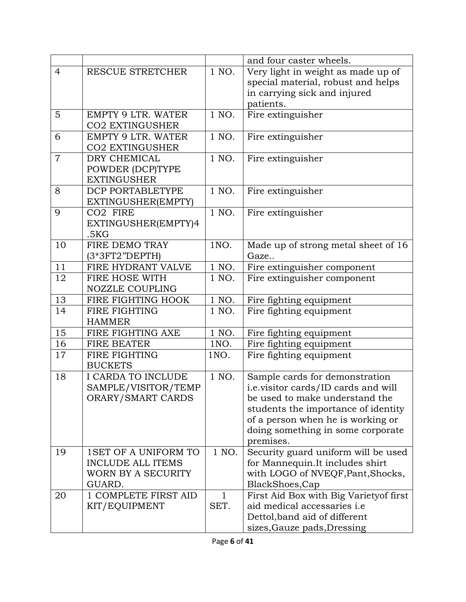|                |                           |              | and four caster wheels.                 |  |  |
|----------------|---------------------------|--------------|-----------------------------------------|--|--|
| $\overline{4}$ | RESCUE STRETCHER          | 1 NO.        | Very light in weight as made up of      |  |  |
|                |                           |              | special material, robust and helps      |  |  |
|                |                           |              | in carrying sick and injured            |  |  |
|                |                           |              | patients.                               |  |  |
| 5              | <b>EMPTY 9 LTR. WATER</b> | 1 NO.        | Fire extinguisher                       |  |  |
|                | <b>CO2 EXTINGUSHER</b>    |              |                                         |  |  |
| 6              | <b>EMPTY 9 LTR. WATER</b> | 1 NO.        | Fire extinguisher                       |  |  |
|                | <b>CO2 EXTINGUSHER</b>    |              |                                         |  |  |
| $\overline{7}$ | DRY CHEMICAL              | 1 NO.        | Fire extinguisher                       |  |  |
|                | POWDER (DCP)TYPE          |              |                                         |  |  |
|                | <b>EXTINGUSHER</b>        |              |                                         |  |  |
| 8              | DCP PORTABLETYPE          | 1 NO.        | Fire extinguisher                       |  |  |
|                | EXTINGUSHER(EMPTY)        |              |                                         |  |  |
| 9              | CO <sub>2</sub> FIRE      | 1 NO.        | Fire extinguisher                       |  |  |
|                | EXTINGUSHER(EMPTY)4       |              |                                         |  |  |
|                | .5KG                      |              |                                         |  |  |
| 10             | FIRE DEMO TRAY            | 1NO.         | Made up of strong metal sheet of 16     |  |  |
|                | (3*3FT2"DEPTH)            |              | Gaze                                    |  |  |
| 11             | FIRE HYDRANT VALVE        | 1 NO.        | Fire extinguisher component             |  |  |
| 12             | FIRE HOSE WITH            | 1 NO.        | Fire extinguisher component             |  |  |
|                | <b>NOZZLE COUPLING</b>    |              |                                         |  |  |
| 13             | FIRE FIGHTING HOOK        | 1 NO.        | Fire fighting equipment                 |  |  |
| 14             | FIRE FIGHTING             | 1 NO.        | Fire fighting equipment                 |  |  |
|                | <b>HAMMER</b>             |              |                                         |  |  |
| 15             | FIRE FIGHTING AXE         | 1 NO.        | Fire fighting equipment                 |  |  |
| 16             | <b>FIRE BEATER</b>        | 1NO.         | Fire fighting equipment                 |  |  |
| 17             | FIRE FIGHTING             | 1NO.         | Fire fighting equipment                 |  |  |
|                | <b>BUCKETS</b>            |              |                                         |  |  |
| 18             | I CARDA TO INCLUDE        | 1 NO.        | Sample cards for demonstration          |  |  |
|                | SAMPLE/VISITOR/TEMP       |              | i.e.visitor cards/ID cards and will     |  |  |
|                | ORARY/SMART CARDS         |              | be used to make understand the          |  |  |
|                |                           |              | students the importance of identity     |  |  |
|                |                           |              | of a person when he is working or       |  |  |
|                |                           |              | doing something in some corporate       |  |  |
|                |                           |              | premises.                               |  |  |
| 19             | 1SET OF A UNIFORM TO      | 1 NO.        | Security guard uniform will be used     |  |  |
|                | <b>INCLUDE ALL ITEMS</b>  |              | for Mannequin.It includes shirt         |  |  |
|                | WORN BY A SECURITY        |              | with LOGO of NVEQF, Pant, Shocks,       |  |  |
|                | GUARD.                    |              | BlackShoes, Cap                         |  |  |
| 20             | 1 COMPLETE FIRST AID      | $\mathbf{1}$ | First Aid Box with Big Variety of first |  |  |
|                | KIT/EQUIPMENT             | SET.         | aid medical accessaries i.e             |  |  |
|                |                           |              | Dettol, band aid of different           |  |  |
|                |                           |              | sizes, Gauze pads, Dressing             |  |  |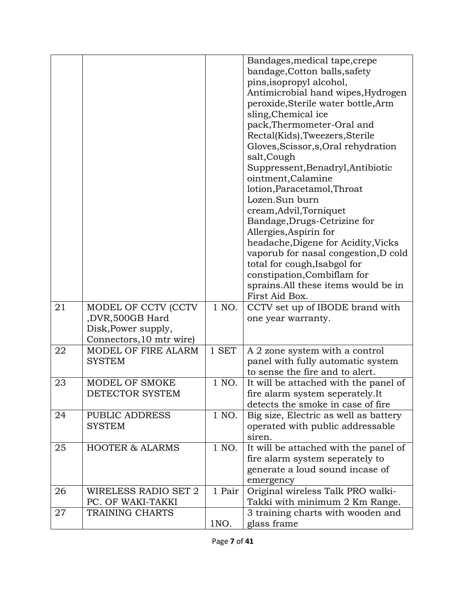|    |                                 |        | Bandages, medical tape, crepe<br>bandage, Cotton balls, safety |
|----|---------------------------------|--------|----------------------------------------------------------------|
|    |                                 |        | pins, isopropyl alcohol,<br>Antimicrobial hand wipes, Hydrogen |
|    |                                 |        | peroxide, Sterile water bottle, Arm                            |
|    |                                 |        | sling, Chemical ice                                            |
|    |                                 |        | pack, Thermometer-Oral and                                     |
|    |                                 |        | Rectal(Kids), Tweezers, Sterile                                |
|    |                                 |        | Gloves, Scissor, s, Oral rehydration                           |
|    |                                 |        | salt, Cough<br>Suppressent, Benadryl, Antibiotic               |
|    |                                 |        | ointment, Calamine                                             |
|    |                                 |        | lotion, Paracetamol, Throat                                    |
|    |                                 |        | Lozen.Sun burn                                                 |
|    |                                 |        | cream, Advil, Torniquet                                        |
|    |                                 |        | Bandage, Drugs-Cetrizine for                                   |
|    |                                 |        | Allergies, Aspirin for                                         |
|    |                                 |        | headache, Digene for Acidity, Vicks                            |
|    |                                 |        | vaporub for nasal congestion, D cold                           |
|    |                                 |        | total for cough, Isabgol for                                   |
|    |                                 |        | constipation, Combiflam for                                    |
|    |                                 |        | sprains. All these items would be in<br>First Aid Box.         |
| 21 | MODEL OF CCTV (CCTV             | 1 NO.  | CCTV set up of IBODE brand with                                |
|    | ,DVR,500GB Hard                 |        | one year warranty.                                             |
|    | Disk, Power supply,             |        |                                                                |
|    | Connectors, 10 mtr wire)        |        |                                                                |
| 22 | MODEL OF FIRE ALARM             | 1 SET  | A 2 zone system with a control                                 |
|    | <b>SYSTEM</b>                   |        | panel with fully automatic system                              |
|    |                                 |        | to sense the fire and to alert.                                |
| 23 | MODEL OF SMOKE                  | 1 NO.  | It will be attached with the panel of                          |
|    | DETECTOR SYSTEM                 |        | fire alarm system seperately.It                                |
|    |                                 | 1 NO.  | detects the smoke in case of fire                              |
| 24 | PUBLIC ADDRESS<br><b>SYSTEM</b> |        | Big size, Electric as well as battery                          |
|    |                                 |        | operated with public addressable<br>siren.                     |
| 25 | <b>HOOTER &amp; ALARMS</b>      | 1 NO.  | It will be attached with the panel of                          |
|    |                                 |        | fire alarm system seperately to                                |
|    |                                 |        | generate a loud sound incase of                                |
|    |                                 |        | emergency                                                      |
| 26 | WIRELESS RADIO SET 2            | 1 Pair | Original wireless Talk PRO walki-                              |
|    | PC. OF WAKI-TAKKI               |        | Takki with minimum 2 Km Range.                                 |
| 27 | TRAINING CHARTS                 |        | 3 training charts with wooden and                              |
|    |                                 | 1NO.   | glass frame                                                    |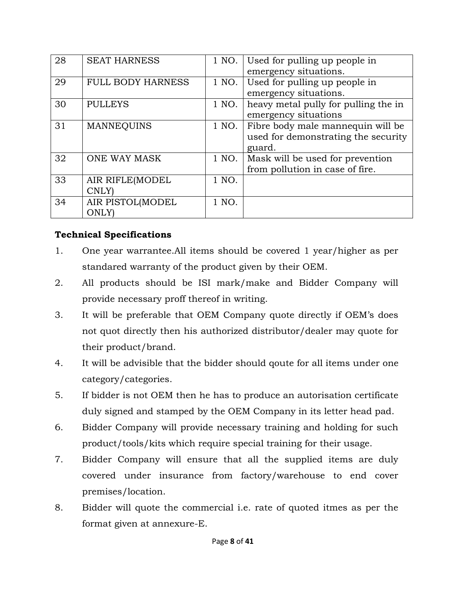| 28 | <b>SEAT HARNESS</b>             | 1 NO. | Used for pulling up people in<br>emergency situations.                             |  |  |
|----|---------------------------------|-------|------------------------------------------------------------------------------------|--|--|
| 29 | <b>FULL BODY HARNESS</b>        | 1 NO. | Used for pulling up people in<br>emergency situations.                             |  |  |
| 30 | <b>PULLEYS</b>                  | 1 NO. | heavy metal pully for pulling the in<br>emergency situations                       |  |  |
| 31 | <b>MANNEQUINS</b>               | 1 NO. | Fibre body male mannequin will be<br>used for demonstrating the security<br>guard. |  |  |
| 32 | <b>ONE WAY MASK</b>             | 1 NO. | Mask will be used for prevention<br>from pollution in case of fire.                |  |  |
| 33 | AIR RIFLE(MODEL<br><b>CNLY</b>  | 1 NO. |                                                                                    |  |  |
| 34 | AIR PISTOL(MODEL<br><b>ONLY</b> | 1 NO. |                                                                                    |  |  |

# **Technical Specifications**

- 1. One year warrantee.All items should be covered 1 year/higher as per standared warranty of the product given by their OEM.
- 2. All products should be ISI mark/make and Bidder Company will provide necessary proff thereof in writing.
- 3. It will be preferable that OEM Company quote directly if OEM's does not quot directly then his authorized distributor/dealer may quote for their product/brand.
- 4. It will be advisible that the bidder should qoute for all items under one category/categories.
- 5. If bidder is not OEM then he has to produce an autorisation certificate duly signed and stamped by the OEM Company in its letter head pad.
- 6. Bidder Company will provide necessary training and holding for such product/tools/kits which require special training for their usage.
- 7. Bidder Company will ensure that all the supplied items are duly covered under insurance from factory/warehouse to end cover premises/location.
- 8. Bidder will quote the commercial i.e. rate of quoted itmes as per the format given at annexure-E.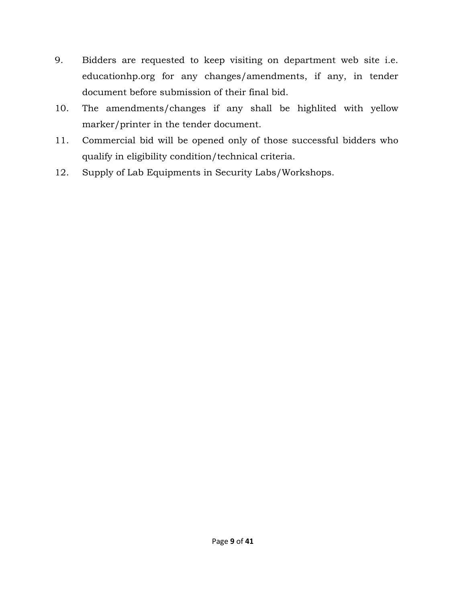- 9. Bidders are requested to keep visiting on department web site i.e. educationhp.org for any changes/amendments, if any, in tender document before submission of their final bid.
- 10. The amendments/changes if any shall be highlited with yellow marker/printer in the tender document.
- 11. Commercial bid will be opened only of those successful bidders who qualify in eligibility condition/technical criteria.
- 12. Supply of Lab Equipments in Security Labs/Workshops.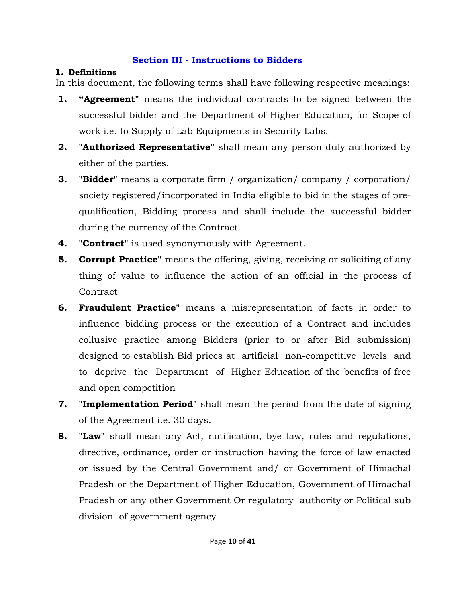# **Section III - Instructions to Bidders**

# **1. Definitions**

In this document, the following terms shall have following respective meanings:

- **1. "Agreement"** means the individual contracts to be signed between the successful bidder and the Department of Higher Education, for Scope of work i.e. to Supply of Lab Equipments in Security Labs.
- **2. "Authorized Representative"** shall mean any person duly authorized by either of the parties.
- **3. "Bidder"** means a corporate firm / organization/ company / corporation/ society registered/incorporated in India eligible to bid in the stages of prequalification, Bidding process and shall include the successful bidder during the currency of the Contract.
- **4. "Contract"** is used synonymously with Agreement.
- **5. Corrupt Practice**" means the offering, giving, receiving or soliciting of any thing of value to influence the action of an official in the process of **Contract**
- designed to establish Bid prices at artificial non-competitive levels and **6. Fraudulent Practice"** means a misrepresentation of facts in order to influence bidding process or the execution of a Contract and includes collusive practice among Bidders (prior to or after Bid submission) to deprive the Department of Higher Education of the benefits of free and open competition
- **7. "Implementation Period"** shall mean the period from the date of signing of the Agreement i.e. 30 days.
- **8. "Law"** shall mean any Act, notification, bye law, rules and regulations, directive, ordinance, order or instruction having the force of law enacted or issued by the Central Government and/ or Government of Himachal Pradesh or the Department of Higher Education, Government of Himachal Pradesh or any other Government Or regulatory authority or Political sub division of government agency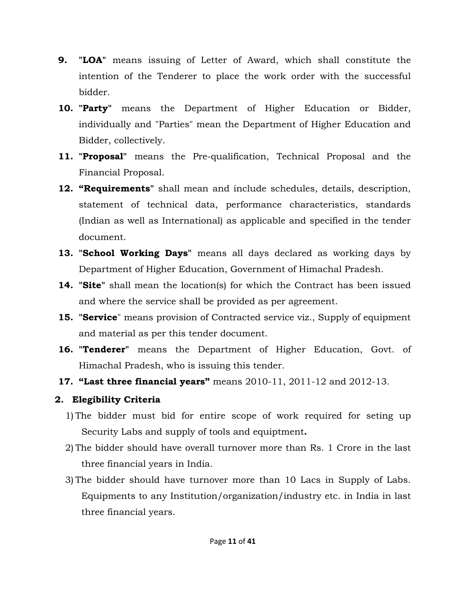- **9. "LOA"** means issuing of Letter of Award, which shall constitute the intention of the Tenderer to place the work order with the successful bidder.
- **10. "Party"** means the Department of Higher Education or Bidder, individually and "Parties" mean the Department of Higher Education and Bidder, collectively.
- **11. "Proposal"** means the Pre-qualification, Technical Proposal and the Financial Proposal.
- **12. "Requirements"** shall mean and include schedules, details, description, statement of technical data, performance characteristics, standards (Indian as well as International) as applicable and specified in the tender document.
- **13. "School Working Days"** means all days declared as working days by Department of Higher Education, Government of Himachal Pradesh.
- **14. "Site"** shall mean the location(s) for which the Contract has been issued and where the service shall be provided as per agreement.
- **15. "Service**" means provision of Contracted service viz., Supply of equipment and material as per this tender document.
- **16. "Tenderer"** means the Department of Higher Education, Govt. of Himachal Pradesh, who is issuing this tender.
- **17. "Last three financial years"** means 2010-11, 2011-12 and 2012-13.

# **2. Elegibility Criteria**

- Security Labs and supply of tools and equiptment**.** 1) The bidder must bid for entire scope of work required for seting up
- 2) The bidder should have overall turnover more than Rs. 1 Crore in the last three financial years in India.
- 3) The bidder should have turnover more than 10 Lacs in Supply of Labs. Equipments to any Institution/organization/industry etc. in India in last three financial years.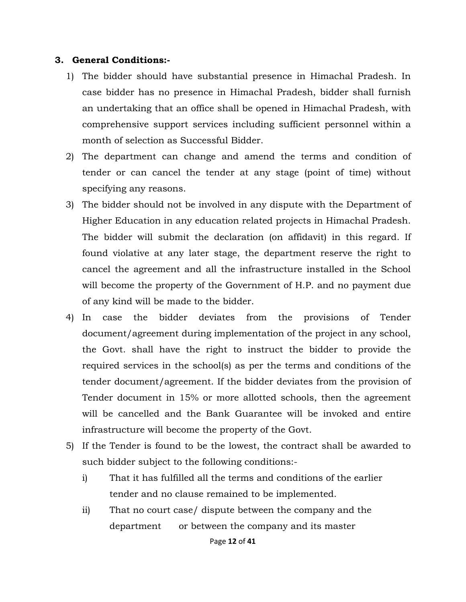#### **3. General Conditions:-**

- 1) The bidder should have substantial presence in Himachal Pradesh. In case bidder has no presence in Himachal Pradesh, bidder shall furnish an undertaking that an office shall be opened in Himachal Pradesh, with comprehensive support services including sufficient personnel within a month of selection as Successful Bidder.
- 2) The department can change and amend the terms and condition of tender or can cancel the tender at any stage (point of time) without specifying any reasons.
- 3) The bidder should not be involved in any dispute with the Department of Higher Education in any education related projects in Himachal Pradesh. The bidder will submit the declaration (on affidavit) in this regard. If found violative at any later stage, the department reserve the right to cancel the agreement and all the infrastructure installed in the School will become the property of the Government of H.P. and no payment due of any kind will be made to the bidder.
- 4) In case the bidder deviates from the provisions of Tender document/agreement during implementation of the project in any school, the Govt. shall have the right to instruct the bidder to provide the required services in the school(s) as per the terms and conditions of the tender document/agreement. If the bidder deviates from the provision of Tender document in 15% or more allotted schools, then the agreement will be cancelled and the Bank Guarantee will be invoked and entire infrastructure will become the property of the Govt.
- 5) If the Tender is found to be the lowest, the contract shall be awarded to such bidder subject to the following conditions:
	- i) That it has fulfilled all the terms and conditions of the earlier tender and no clause remained to be implemented.
	- ii) That no court case/ dispute between the company and the department or between the company and its master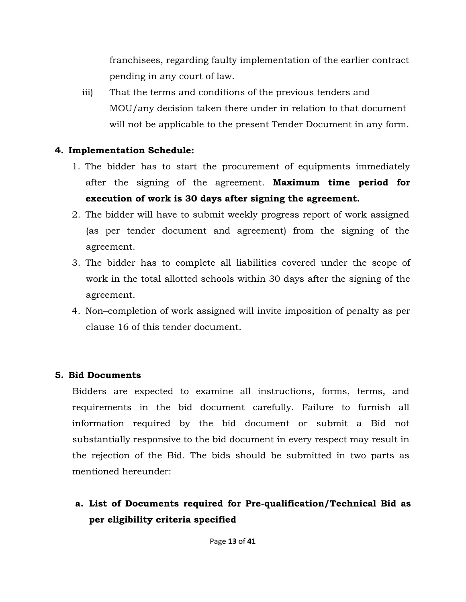franchisees, regarding faulty implementation of the earlier contract pending in any court of law.

iii) That the terms and conditions of the previous tenders and MOU/any decision taken there under in relation to that document will not be applicable to the present Tender Document in any form.

# **4. Implementation Schedule:**

- **execution of work is 30 days after signing the agreement.** 1. The bidder has to start the procurement of equipments immediately after the signing of the agreement. **Maximum time period for**
- 2. The bidder will have to submit weekly progress report of work assigned (as per tender document and agreement) from the signing of the agreement.
- 3. The bidder has to complete all liabilities covered under the scope of work in the total allotted schools within 30 days after the signing of the agreement.
- 4. Non–completion of work assigned will invite imposition of penalty as per clause 16 of this tender document.

# **5. Bid Documents**

Bidders are expected to examine all instructions, forms, terms, and requirements in the bid document carefully. Failure to furnish all information required by the bid document or submit a Bid not substantially responsive to the bid document in every respect may result in the rejection of the Bid. The bids should be submitted in two parts as mentioned hereunder:

# **a. List of Documents required for Pre-qualification/Technical Bid as per eligibility criteria specified**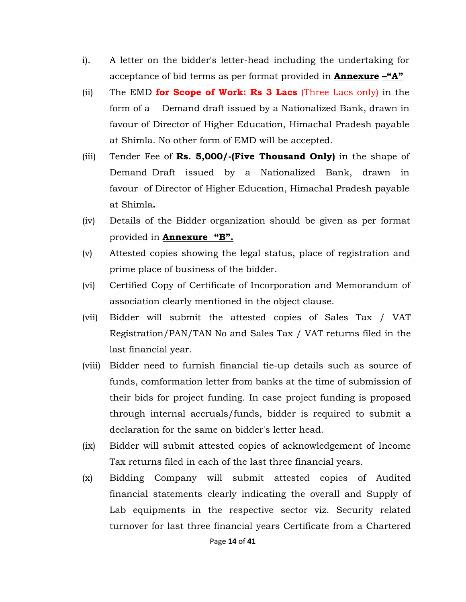- acceptance of bid terms as per format provided in **Annexure –"A"** i). A letter on the bidder's letter-head including the undertaking for
- (ii) The EMD **for Scope of Work: Rs 3 Lacs** (Three Lacs only) in the form of a Demand draft issued by a Nationalized Bank, drawn in favour of Director of Higher Education, Himachal Pradesh payable at Shimla. No other form of EMD will be accepted.
- Demand Draft issued by a Nationalized Bank, drawn in (iii) Tender Fee of **Rs. 5,000/-(Five Thousand Only)** in the shape of favour of Director of Higher Education, Himachal Pradesh payable at Shimla**.**
- (iv) Details of the Bidder organization should be given as per format provided in **Annexure "B".**
- (v) Attested copies showing the legal status, place of registration and prime place of business of the bidder.
- (vi) Certified Copy of Certificate of Incorporation and Memorandum of association clearly mentioned in the object clause.
- (vii) Bidder will submit the attested copies of Sales Tax / VAT Registration/PAN/TAN No and Sales Tax / VAT returns filed in the last financial year.
- (viii) Bidder need to furnish financial tie-up details such as source of funds, comformation letter from banks at the time of submission of their bids for project funding. In case project funding is proposed through internal accruals/funds, bidder is required to submit a declaration for the same on bidder's letter head.
- (ix) Bidder will submit attested copies of acknowledgement of Income Tax returns filed in each of the last three financial years.
- (x) Bidding Company will submit attested copies of Audited financial statements clearly indicating the overall and Supply of Lab equipments in the respective sector viz. Security related turnover for last three financial years Certificate from a Chartered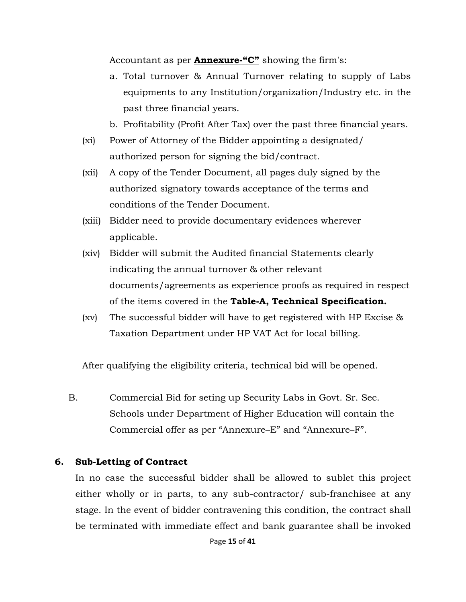Accountant as per **Annexure-"C"** showing the firm's:

a. Total turnover & Annual Turnover relating to supply of Labs equipments to any Institution/organization/Industry etc. in the past three financial years.

b. Profitability (Profit After Tax) over the past three financial years.

- (xi) Power of Attorney of the Bidder appointing a designated/ authorized person for signing the bid/contract.
- (xii) A copy of the Tender Document, all pages duly signed by the authorized signatory towards acceptance of the terms and conditions of the Tender Document.
- (xiii) Bidder need to provide documentary evidences wherever applicable.
- (xiv) Bidder will submit the Audited financial Statements clearly indicating the annual turnover & other relevant documents/agreements as experience proofs as required in respect of the items covered in the **Table-A, Technical Specification.**
- (xv) The successful bidder will have to get registered with HP Excise & Taxation Department under HP VAT Act for local billing.

After qualifying the eligibility criteria, technical bid will be opened.

B. Commercial Bid for seting up Security Labs in Govt. Sr. Sec. Schools under Department of Higher Education will contain the Commercial offer as per "Annexure–E" and "Annexure–F".

# **6. Sub-Letting of Contract**

In no case the successful bidder shall be allowed to sublet this project either wholly or in parts, to any sub-contractor/ sub-franchisee at any stage. In the event of bidder contravening this condition, the contract shall be terminated with immediate effect and bank guarantee shall be invoked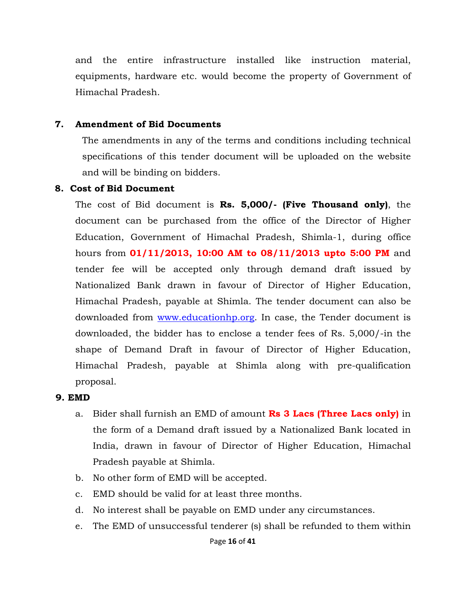and the entire infrastructure installed like instruction material, equipments, hardware etc. would become the property of Government of Himachal Pradesh.

#### **7. Amendment of Bid Documents**

The amendments in any of the terms and conditions including technical specifications of this tender document will be uploaded on the website and will be binding on bidders.

#### **8. Cost of Bid Document**

The cost of Bid document is **Rs. 5,000/- (Five Thousand only)**, the document can be purchased from the office of the Director of Higher Education, Government of Himachal Pradesh, Shimla-1, during office hours from **01/11/2013, 10:00 AM to 08/11/2013 upto 5:00 PM** and tender fee will be accepted only through demand draft issued by Nationalized Bank drawn in favour of Director of Higher Education, Himachal Pradesh, payable at Shimla. The tender document can also be downloaded from www.educationhp.org. In case, the Tender document is downloaded, the bidder has to enclose a tender fees of Rs. 5,000/-in the shape of Demand Draft in favour of Director of Higher Education, Himachal Pradesh, payable at Shimla along with pre-qualification proposal.

#### **9. EMD**

- a. Bider shall furnish an EMD of amount **Rs 3 Lacs (Three Lacs only)** in the form of a Demand draft issued by a Nationalized Bank located in India, drawn in favour of Director of Higher Education, Himachal Pradesh payable at Shimla.
- b. No other form of EMD will be accepted.
- c. EMD should be valid for at least three months.
- d. No interest shall be payable on EMD under any circumstances.
- e. The EMD of unsuccessful tenderer (s) shall be refunded to them within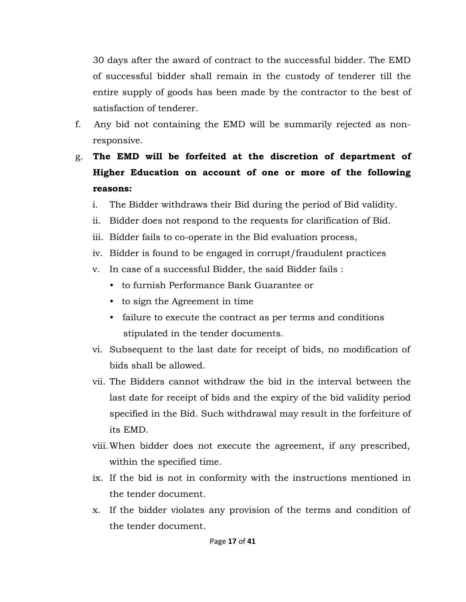30 days after the award of contract to the successful bidder. The EMD of successful bidder shall remain in the custody of tenderer till the entire supply of goods has been made by the contractor to the best of satisfaction of tenderer.

- f. Any bid not containing the EMD will be summarily rejected as nonresponsive.
- g. **The EMD will be forfeited at the discretion of department of Higher Education on account of one or more of the following reasons:** 
	- i. The Bidder withdraws their Bid during the period of Bid validity.
	- ii. Bidder does not respond to the requests for clarification of Bid.
	- iii. Bidder fails to co-operate in the Bid evaluation process,
	- iv. Bidder is found to be engaged in corrupt/fraudulent practices
	- v. In case of a successful Bidder, the said Bidder fails :
		- to furnish Performance Bank Guarantee or
		- to sign the Agreement in time
		- failure to execute the contract as per terms and conditions stipulated in the tender documents.
	- vi. Subsequent to the last date for receipt of bids, no modification of bids shall be allowed.
	- vii. The Bidders cannot withdraw the bid in the interval between the last date for receipt of bids and the expiry of the bid validity period specified in the Bid. Such withdrawal may result in the forfeiture of its EMD.
	- viii.When bidder does not execute the agreement, if any prescribed, within the specified time.
	- ix. If the bid is not in conformity with the instructions mentioned in the tender document.
	- x. If the bidder violates any provision of the terms and condition of the tender document.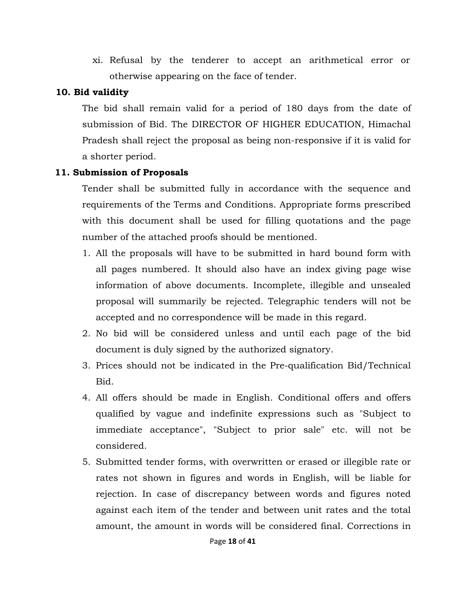xi. Refusal by the tenderer to accept an arithmetical error or otherwise appearing on the face of tender.

# **10. Bid validity**

The bid shall remain valid for a period of 180 days from the date of<br>submission of Bid. The DIRECTOR OF HIGHER EDUCATION, Himachal Pradesh shall reject the proposal as being non-responsive if it is valid for a shorter period.

# **11. Submission of Proposals**

Tender shall be submitted fully in accordance with the sequence and requirements of the Terms and Conditions. Appropriate forms prescribed with this document shall be used for filling quotations and the page number of the attached proofs should be mentioned.

- 1. All the proposals will have to be submitted in hard bound form with all pages numbered. It should also have an index giving page wise information of above documents. Incomplete, illegible and unsealed proposal will summarily be rejected. Telegraphic tenders will not be accepted and no correspondence will be made in this regard.
- 2. No bid will be considered unless and until each page of the bid document is duly signed by the authorized signatory.
- 3. Prices should not be indicated in the Pre-qualification Bid/Technical Bid.
- 4. All offers should be made in English. Conditional offers and offers qualified by vague and indefinite expressions such as "Subject to immediate acceptance", "Subject to prior sale" etc. will not be considered.
- 5. Submitted tender forms, with overwritten or erased or illegible rate or rates not shown in figures and words in English, will be liable for rejection. In case of discrepancy between words and figures noted against each item of the tender and between unit rates and the total amount, the amount in words will be considered final. Corrections in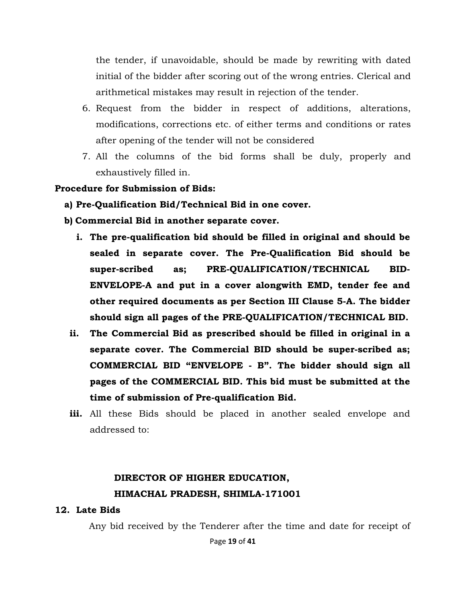the tender, if unavoidable, should be made by rewriting with dated initial of the bidder after scoring out of the wrong entries. Clerical and arithmetical mistakes may result in rejection of the tender.

- 6. Request from the bidder in respect of additions, alterations, modifications, corrections etc. of either terms and conditions or rates after opening of the tender will not be considered
- 7. All the columns of the bid forms shall be duly, properly and exhaustively filled in.

#### **Procedure for Submission of Bids:**

- **a) Pre-Qualification Bid/Technical Bid in one cover.**
- **b) Commercial Bid in another separate cover.** 
	- **i. The pre-qualification bid should be filled in original and should be sealed in separate cover. The Pre-Qualification Bid should be super-scribed as; PRE-QUALIFICATION/TECHNICAL BID-ENVELOPE-A and put in a cover alongwith EMD, tender fee and other required documents as per Section III Clause 5-A. The bidder should sign all pages of the PRE-QUALIFICATION/TECHNICAL BID.**
	- **ii. The Commercial Bid as prescribed should be filled in original in a separate cover. The Commercial BID should be super-scribed as; COMMERCIAL BID "ENVELOPE - B". The bidder should sign all pages of the COMMERCIAL BID. This bid must be submitted at the time of submission of Pre-qualification Bid.**
	- **iii.** All these Bids should be placed in another sealed envelope and addressed to:

# **DIRECTOR OF HIGHER EDUCATION, HIMACHAL PRADESH, SHIMLA-171001**

#### **12. Late Bids**

Any bid received by the Tenderer after the time and date for receipt of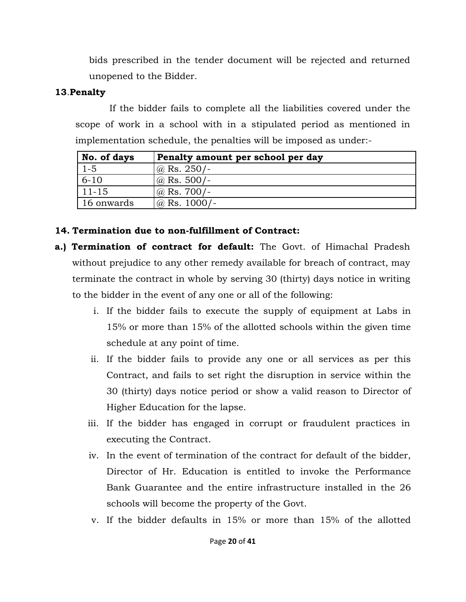bids prescribed in the tender document will be rejected and returned unopened to the Bidder.

# **13**.**Penalty**

If the bidder fails to complete all the liabilities covered under the scope of work in a school with in a stipulated period as mentioned in implementation schedule, the penalties will be imposed as under:-

| No. of days | Penalty amount per school per day |
|-------------|-----------------------------------|
| $1 - 5$     | $\omega$ Rs. 250/-                |
| $6 - 10$    | $\omega$ Rs. 500/-                |
| $11 - 15$   | @ Rs. $700/-$                     |
| 16 onwards  | $\omega$ Rs. 1000/-               |

# **14. Termination due to non-fulfillment of Contract:**

- **a.) Termination of contract for default:** The Govt. of Himachal Pradesh without prejudice to any other remedy available for breach of contract, may terminate the contract in whole by serving 30 (thirty) days notice in writing to the bidder in the event of any one or all of the following:
	- i. If the bidder fails to execute the supply of equipment at Labs in 15% or more than 15% of the allotted schools within the given time schedule at any point of time.
	- ii. If the bidder fails to provide any one or all services as per this Contract, and fails to set right the disruption in service within the 30 (thirty) days notice period or show a valid reason to Director of Higher Education for the lapse.
	- iii. If the bidder has engaged in corrupt or fraudulent practices in executing the Contract.
	- iv. In the event of termination of the contract for default of the bidder, Director of Hr. Education is entitled to invoke the Performance Bank Guarantee and the entire infrastructure installed in the 26 schools will become the property of the Govt.
	- v. If the bidder defaults in 15% or more than 15% of the allotted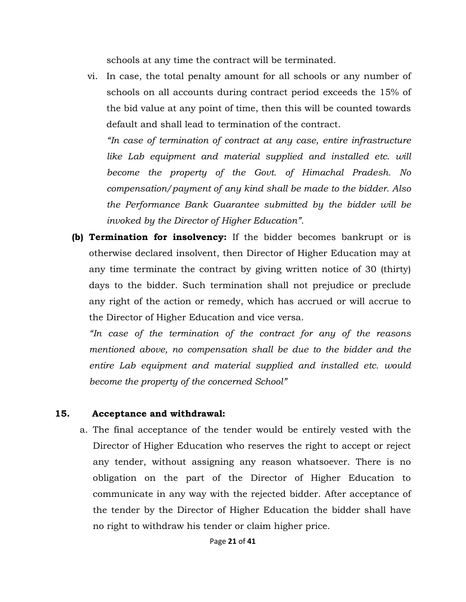schools at any time the contract will be terminated.

vi. In case, the total penalty amount for all schools or any number of schools on all accounts during contract period exceeds the 15% of the bid value at any point of time, then this will be counted towards default and shall lead to termination of the contract.

 *"In case of termination of contract at any case, entire infrastructure*  like Lab equipment and material supplied and installed etc. will *become the property of the Govt. of Himachal Pradesh. No compensation/payment of any kind shall be made to the bidder. Also the Performance Bank Guarantee submitted by the bidder will be invoked by the Director of Higher Education".* 

**(b) Termination for insolvency:** If the bidder becomes bankrupt or is otherwise declared insolvent, then Director of Higher Education may at any time terminate the contract by giving written notice of 30 (thirty) days to the bidder. Such termination shall not prejudice or preclude any right of the action or remedy, which has accrued or will accrue to the Director of Higher Education and vice versa.

*"In case of the termination of the contract for any of the reasons mentioned above, no compensation shall be due to the bidder and the entire Lab equipment and material supplied and installed etc. would become the property of the concerned School"* 

# **15. Acceptance and withdrawal:**

a. The final acceptance of the tender would be entirely vested with the Director of Higher Education who reserves the right to accept or reject any tender, without assigning any reason whatsoever. There is no obligation on the part of the Director of Higher Education to communicate in any way with the rejected bidder. After acceptance of the tender by the Director of Higher Education the bidder shall have no right to withdraw his tender or claim higher price.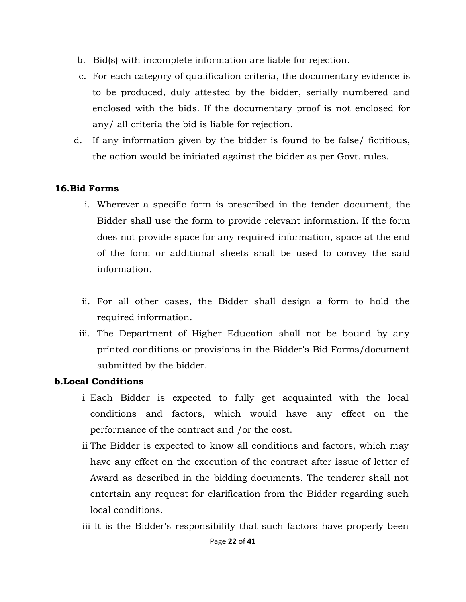- b. Bid(s) with incomplete information are liable for rejection.
- c. For each category of qualification criteria, the documentary evidence is to be produced, duly attested by the bidder, serially numbered and enclosed with the bids. If the documentary proof is not enclosed for any/ all criteria the bid is liable for rejection.
- d. If any information given by the bidder is found to be false/ fictitious, the action would be initiated against the bidder as per Govt. rules.

# **16.Bid Forms**

- i. Wherever a specific form is prescribed in the tender document, the Bidder shall use the form to provide relevant information. If the form does not provide space for any required information, space at the end of the form or additional sheets shall be used to convey the said information.
- ii. For all other cases, the Bidder shall design a form to hold the required information.
- iii. The Department of Higher Education shall not be bound by any printed conditions or provisions in the Bidder's Bid Forms/document submitted by the bidder.

### **b.Local Conditions**

- i Each Bidder is expected to fully get acquainted with the local conditions and factors, which would have any effect on the performance of the contract and /or the cost.
- entertain any request for clarification from the Bidder regarding such local conditions. ii The Bidder is expected to know all conditions and factors, which may have any effect on the execution of the contract after issue of letter of Award as described in the bidding documents. The tenderer shall not
- iii It is the Bidder's responsibility that such factors have properly been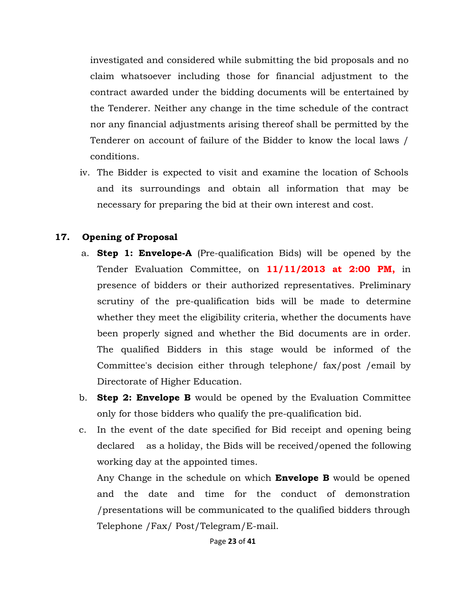investigated and considered while submitting the bid proposals and no claim whatsoever including those for financial adjustment to the contract awarded under the bidding documents will be entertained by the Tenderer. Neither any change in the time schedule of the contract nor any financial adjustments arising thereof shall be permitted by the Tenderer on account of failure of the Bidder to know the local laws / conditions.

iv. The Bidder is expected to visit and examine the location of Schools and its surroundings and obtain all information that may be necessary for preparing the bid at their own interest and cost.

# **17. Opening of Proposal**

- a. **Step 1: Envelope-A** (Pre-qualification Bids) will be opened by the Tender Evaluation Committee, on **11/11/2013 at 2:00 PM,** in presence of bidders or their authorized representatives. Preliminary scrutiny of the pre-qualification bids will be made to determine whether they meet the eligibility criteria, whether the documents have been properly signed and whether the Bid documents are in order. The qualified Bidders in this stage would be informed of the Committee's decision either through telephone/ fax/post /email by Directorate of Higher Education.
- b. **Step 2: Envelope B** would be opened by the Evaluation Committee only for those bidders who qualify the pre-qualification bid.
- c. In the event of the date specified for Bid receipt and opening being declared as a holiday, the Bids will be received/opened the following working day at the appointed times.

Any Change in the schedule on which **Envelope B** would be opened and the date and time for the conduct of demonstration /presentations will be communicated to the qualified bidders through Telephone /Fax/ Post/Telegram/E-mail.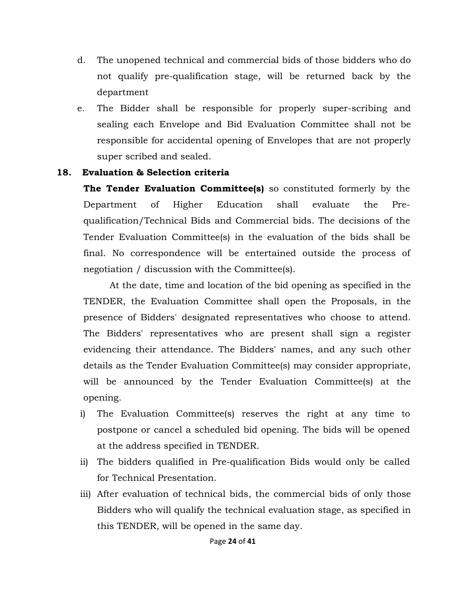- d. The unopened technical and commercial bids of those bidders who do not qualify pre-qualification stage, will be returned back by the department
- e. The Bidder shall be responsible for properly super-scribing and sealing each Envelope and Bid Evaluation Committee shall not be responsible for accidental opening of Envelopes that are not properly super scribed and sealed.

# **18. Evaluation & Selection criteria**

**The Tender Evaluation Committee(s)** so constituted formerly by the Department of Higher Education shall evaluate the Prequalification/Technical Bids and Commercial bids. The decisions of the Tender Evaluation Committee(s) in the evaluation of the bids shall be final. No correspondence will be entertained outside the process of negotiation / discussion with the Committee(s).

At the date, time and location of the bid opening as specified in the TENDER, the Evaluation Committee shall open the Proposals, in the presence of Bidders' designated representatives who choose to attend. The Bidders' representatives who are present shall sign a register evidencing their attendance. The Bidders' names, and any such other details as the Tender Evaluation Committee(s) may consider appropriate, will be announced by the Tender Evaluation Committee(s) at the opening.

- i) The Evaluation Committee(s) reserves the right at any time to postpone or cancel a scheduled bid opening. The bids will be opened at the address specified in TENDER.
- ii) The bidders qualified in Pre-qualification Bids would only be called for Technical Presentation.
- iii) After evaluation of technical bids, the commercial bids of only those Bidders who will qualify the technical evaluation stage, as specified in this TENDER, will be opened in the same day.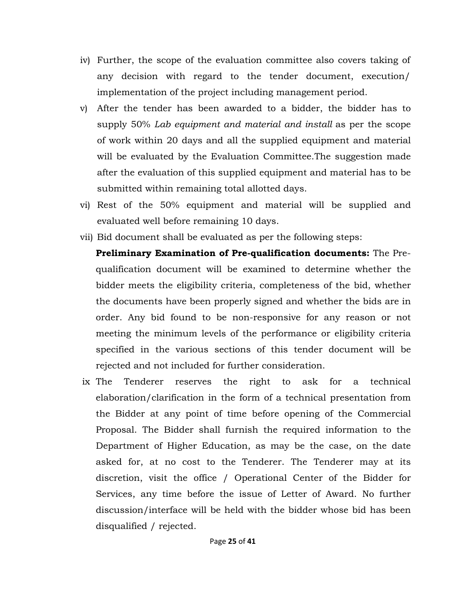- iv) Further, the scope of the evaluation committee also covers taking of any decision with regard to the tender document, execution/ implementation of the project including management period.
- v) After the tender has been awarded to a bidder, the bidder has to supply 50% *Lab equipment and material and install* as per the scope of work within 20 days and all the supplied equipment and material will be evaluated by the Evaluation Committee.The suggestion made after the evaluation of this supplied equipment and material has to be submitted within remaining total allotted days.
- vi) Rest of the 50% equipment and material will be supplied and evaluated well before remaining 10 days.
- vii) Bid document shall be evaluated as per the following steps:
	- **Preliminary Examination of Pre-qualification documents:** The Prequalification document will be examined to determine whether the bidder meets the eligibility criteria, completeness of the bid, whether the documents have been properly signed and whether the bids are in order. Any bid found to be non-responsive for any reason or not meeting the minimum levels of the performance or eligibility criteria specified in the various sections of this tender document will be rejected and not included for further consideration.
- the right to ask for a technical ix The Tenderer reserves the right to ask for a technical elaboration/clarification in the form of a technical presentation from the Bidder at any point of time before opening of the Commercial Proposal. The Bidder shall furnish the required information to the Department of Higher Education, as may be the case, on the date asked for, at no cost to the Tenderer. The Tenderer may at its discretion, visit the office / Operational Center of the Bidder for Services, any time before the issue of Letter of Award. No further discussion/interface will be held with the bidder whose bid has been disqualified / rejected.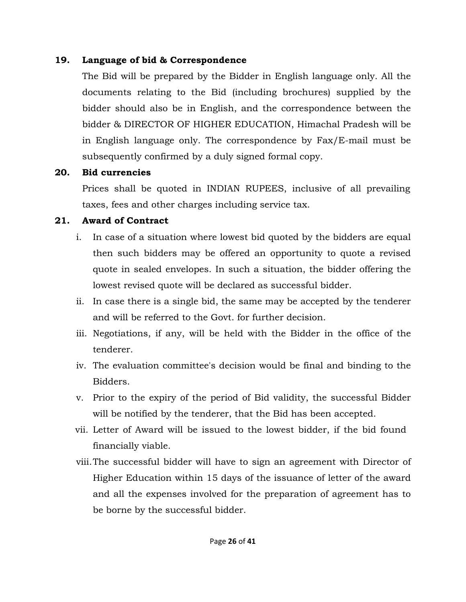# **19. Language of bid & Correspondence**

The Bid will be prepared by the Bidder in English language only. All the documents relating to the Bid (including brochures) supplied by the bidder should also be in English, and the correspondence between the bidder & DIRECTOR OF HIGHER EDUCATION, Himachal Pradesh will be in English language only. The correspondence by Fax/E-mail must be subsequently confirmed by a duly signed formal copy.

# **20. Bid currencies**

Prices shall be quoted in INDIAN RUPEES, inclusive of all prevailing taxes, fees and other charges including service tax.

# **21. Award of Contract**

- i. In case of a situation where lowest bid quoted by the bidders are equal then such bidders may be offered an opportunity to quote a revised quote in sealed envelopes. In such a situation, the bidder offering the lowest revised quote will be declared as successful bidder.
- ii. In case there is a single bid, the same may be accepted by the tenderer and will be referred to the Govt. for further decision.
- iii. Negotiations, if any, will be held with the Bidder in the office of the tenderer.
- iv. The evaluation committee's decision would be final and binding to the Bidders.
- v. Prior to the expiry of the period of Bid validity, the successful Bidder will be notified by the tenderer, that the Bid has been accepted.
- vii. Letter of Award will be issued to the lowest bidder, if the bid found financially viable.
- viii.The successful bidder will have to sign an agreement with Director of Higher Education within 15 days of the issuance of letter of the award and all the expenses involved for the preparation of agreement has to be borne by the successful bidder.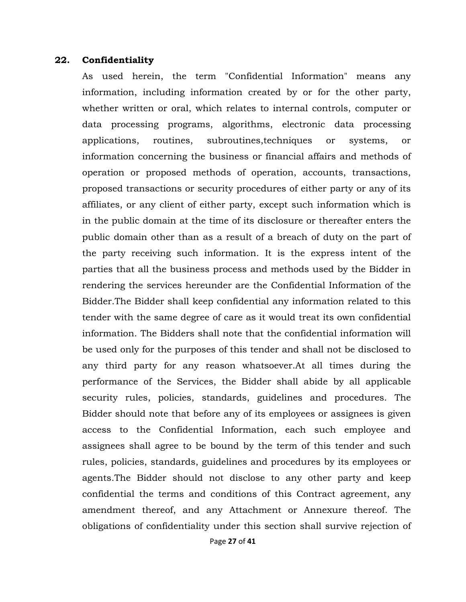#### **22. Confidentiality**

As used herein, the term "Confidential Information" means any information, including information created by or for the other party, whether written or oral, which relates to internal controls, computer or data processing programs, algorithms, electronic data processing applications, routines, subroutines,techniques or systems, or information concerning the business or financial affairs and methods of operation or proposed methods of operation, accounts, transactions, proposed transactions or security procedures of either party or any of its affiliates, or any client of either party, except such information which is in the public domain at the time of its disclosure or thereafter enters the public domain other than as a result of a breach of duty on the part of the party receiving such information. It is the express intent of the parties that all the business process and methods used by the Bidder in rendering the services hereunder are the Confidential Information of the Bidder.The Bidder shall keep confidential any information related to this tender with the same degree of care as it would treat its own confidential information. The Bidders shall note that the confidential information will be used only for the purposes of this tender and shall not be disclosed to any third party for any reason whatsoever.At all times during the performance of the Services, the Bidder shall abide by all applicable security rules, policies, standards, guidelines and procedures. The Bidder should note that before any of its employees or assignees is given access to the Confidential Information, each such employee and assignees shall agree to be bound by the term of this tender and such rules, policies, standards, guidelines and procedures by its employees or agents.The Bidder should not disclose to any other party and keep confidential the terms and conditions of this Contract agreement, any amendment thereof, and any Attachment or Annexure thereof. The obligations of confidentiality under this section shall survive rejection of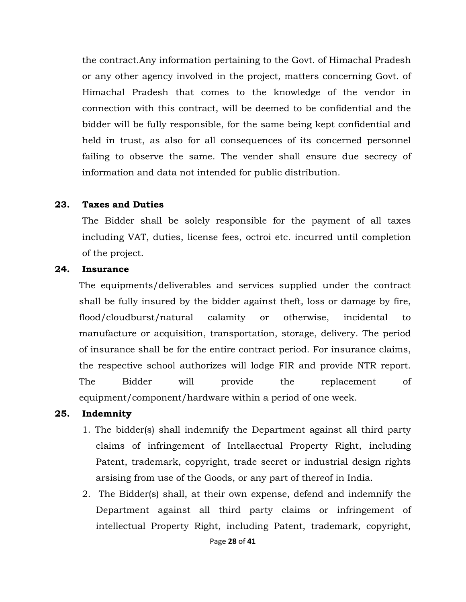the contract.Any information pertaining to the Govt. of Himachal Pradesh or any other agency involved in the project, matters concerning Govt. of Himachal Pradesh that comes to the knowledge of the vendor in connection with this contract, will be deemed to be confidential and the bidder will be fully responsible, for the same being kept confidential and held in trust, as also for all consequences of its concerned personnel failing to observe the same. The vender shall ensure due secrecy of information and data not intended for public distribution.

#### **23. Taxes and Duties**

The Bidder shall be solely responsible for the payment of all taxes including VAT, duties, license fees, octroi etc. incurred until completion of the project.

#### **24. Insurance**

The equipments/deliverables and services supplied under the contract shall be fully insured by the bidder against theft, loss or damage by fire, flood/cloudburst/natural calamity or otherwise, incidental to manufacture or acquisition, transportation, storage, delivery. The period of insurance shall be for the entire contract period. For insurance claims, the respective school authorizes will lodge FIR and provide NTR report. The Bidder will provide the replacement of equipment/component/hardware within a period of one week.

#### **25. Indemnity**

- 1. The bidder(s) shall indemnify the Department against all third party claims of infringement of Intellaectual Property Right, including Patent, trademark, copyright, trade secret or industrial design rights arsising from use of the Goods, or any part of thereof in India.
- 2. The Bidder(s) shall, at their own expense, defend and indemnify the Department against all third party claims or infringement of intellectual Property Right, including Patent, trademark, copyright,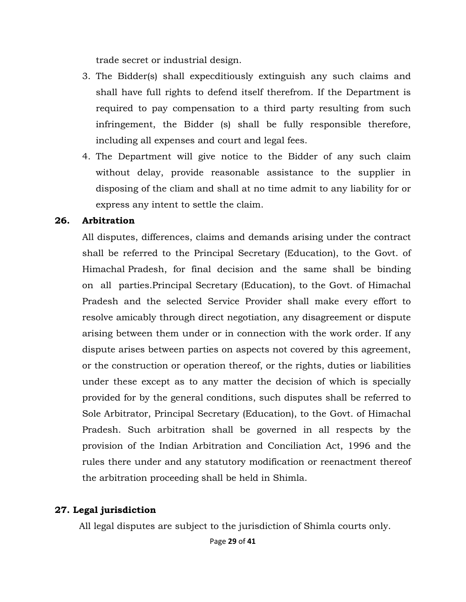trade secret or industrial design.

- 3. The Bidder(s) shall expecditiously extinguish any such claims and shall have full rights to defend itself therefrom. If the Department is required to pay compensation to a third party resulting from such infringement, the Bidder (s) shall be fully responsible therefore, including all expenses and court and legal fees.
- 4. The Department will give notice to the Bidder of any such claim without delay, provide reasonable assistance to the supplier in disposing of the cliam and shall at no time admit to any liability for or express any intent to settle the claim.

#### **26. Arbitration**

Himachal Pradesh, for final decision and the same shall be binding All disputes, differences, claims and demands arising under the contract shall be referred to the Principal Secretary (Education), to the Govt. of on all parties. Principal Secretary (Education), to the Govt. of Himachal Pradesh and the selected Service Provider shall make every effort to resolve amicably through direct negotiation, any disagreement or dispute arising between them under or in connection with the work order. If any dispute arises between parties on aspects not covered by this agreement, or the construction or operation thereof, or the rights, duties or liabilities under these except as to any matter the decision of which is specially provided for by the general conditions, such disputes shall be referred to Sole Arbitrator, Principal Secretary (Education), to the Govt. of Himachal Pradesh. Such arbitration shall be governed in all respects by the provision of the Indian Arbitration and Conciliation Act, 1996 and the rules there under and any statutory modification or reenactment thereof the arbitration proceeding shall be held in Shimla.

### **27. Legal jurisdiction**

All legal disputes are subject to the jurisdiction of Shimla courts only.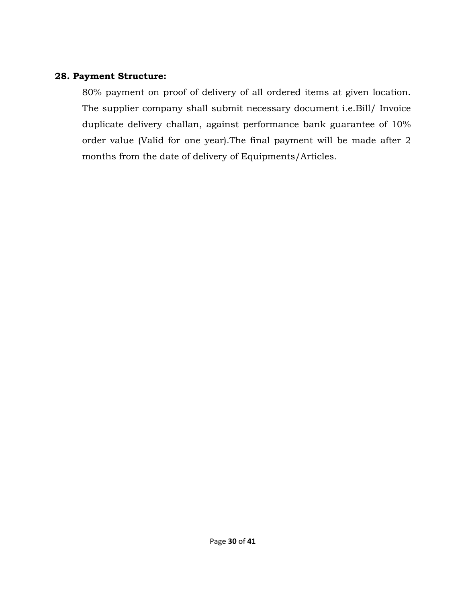### **28. Payment Structure:**

80% payment on proof of delivery of all ordered items at given location. The supplier company shall submit necessary document i.e.Bill/ Invoice duplicate delivery challan, against performance bank guarantee of 10% order value (Valid for one year).The final payment will be made after 2 months from the date of delivery of Equipments/Articles.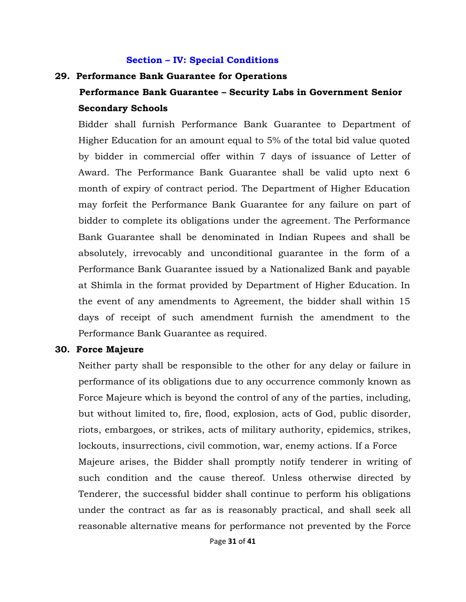#### **Section – IV: Special Conditions**

#### **29. Performance Bank Guarantee for Operations**

# **Performance Bank Guarantee – Security Labs in Government Senior Secondary Schools**

Bidder shall furnish Performance Bank Guarantee to Department of Higher Education for an amount equal to 5% of the total bid value quoted by bidder in commercial offer within 7 days of issuance of Letter of Award. The Performance Bank Guarantee shall be valid upto next 6 month of expiry of contract period. The Department of Higher Education may forfeit the Performance Bank Guarantee for any failure on part of bidder to complete its obligations under the agreement. The Performance Bank Guarantee shall be denominated in Indian Rupees and shall be absolutely, irrevocably and unconditional guarantee in the form of a Performance Bank Guarantee issued by a Nationalized Bank and payable at Shimla in the format provided by Department of Higher Education. In the event of any amendments to Agreement, the bidder shall within 15 days of receipt of such amendment furnish the amendment to the Performance Bank Guarantee as required.

#### **30. Force Majeure**

Neither party shall be responsible to the other for any delay or failure in performance of its obligations due to any occurrence commonly known as Force Majeure which is beyond the control of any of the parties, including, but without limited to, fire, flood, explosion, acts of God, public disorder, riots, embargoes, or strikes, acts of military authority, epidemics, strikes, lockouts, insurrections, civil commotion, war, enemy actions. If a Force Majeure arises, the Bidder shall promptly notify tenderer in writing of such condition and the cause thereof. Unless otherwise directed by Tenderer, the successful bidder shall continue to perform his obligations under the contract as far as is reasonably practical, and shall seek all reasonable alternative means for performance not prevented by the Force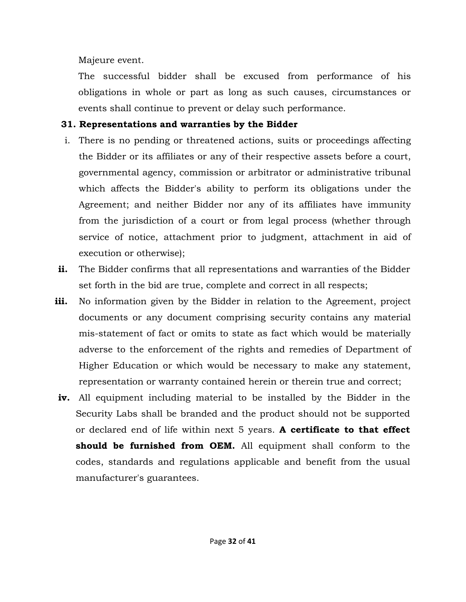Majeure event.

The successful bidder shall be excused from performance of his obligations in whole or part as long as such causes, circumstances or events shall continue to prevent or delay such performance.

# **31. Representations and warranties by the Bidder**

- i. There is no pending or threatened actions, suits or proceedings affecting the Bidder or its affiliates or any of their respective assets before a court, governmental agency, commission or arbitrator or administrative tribunal which affects the Bidder's ability to perform its obligations under the Agreement; and neither Bidder nor any of its affiliates have immunity from the jurisdiction of a court or from legal process (whether through service of notice, attachment prior to judgment, attachment in aid of execution or otherwise);
- **ii.** The Bidder confirms that all representations and warranties of the Bidder set forth in the bid are true, complete and correct in all respects;
- **iii.** No information given by the Bidder in relation to the Agreement, project documents or any document comprising security contains any material mis-statement of fact or omits to state as fact which would be materially adverse to the enforcement of the rights and remedies of Department of Higher Education or which would be necessary to make any statement, representation or warranty contained herein or therein true and correct;
- **iv.** All equipment including material to be installed by the Bidder in the Security Labs shall be branded and the product should not be supported or declared end of life within next 5 years. **A certificate to that effect should be furnished from OEM.** All equipment shall conform to the codes, standards and regulations applicable and benefit from the usual manufacturer's guarantees.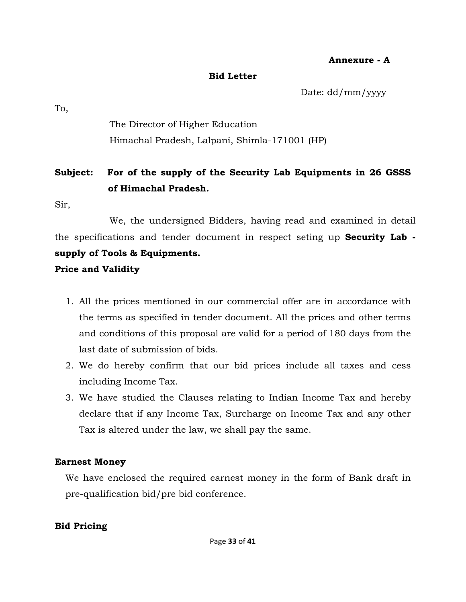#### **Annexure - A**

#### **Bid Letter**

Date: dd/mm/yyyy

To,

The Director of Higher Education Himachal Pradesh, Lalpani, Shimla-171001 (HP)

# **Subject: For of the supply of the Security Lab Equipments in 26 GSSS of Himachal Pradesh.**

Sir,

We, the undersigned Bidders, having read and examined in detail the specifications and tender document in respect seting up **Security Lab supply of Tools & Equipments. Price and Validity** 

- 1. All the prices mentioned in our commercial offer are in accordance with the terms as specified in tender document. All the prices and other terms and conditions of this proposal are valid for a period of 180 days from the last date of submission of bids.
- 2. We do hereby confirm that our bid prices include all taxes and cess including Income Tax.
- 3. We have studied the Clauses relating to Indian Income Tax and hereby declare that if any Income Tax, Surcharge on Income Tax and any other Tax is altered under the law, we shall pay the same.

# **Earnest Money**

We have enclosed the required earnest money in the form of Bank draft in pre-qualification bid/pre bid conference.

# **Bid Pricing**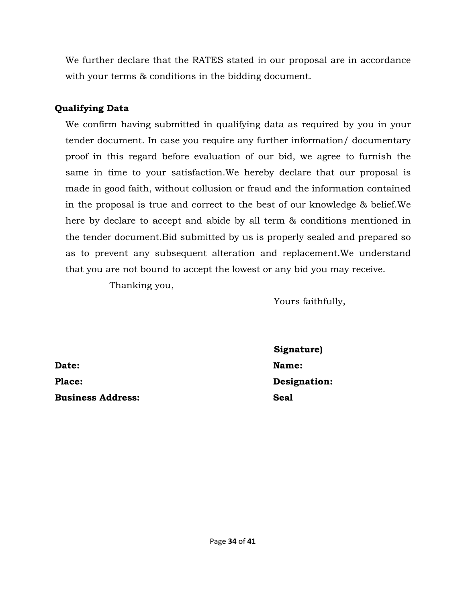We further declare that the RATES stated in our proposal are in accordance with your terms & conditions in the bidding document.

# **Qualifying Data**

We confirm having submitted in qualifying data as required by you in your tender document. In case you require any further information/ documentary proof in this regard before evaluation of our bid, we agree to furnish the same in time to your satisfaction.We hereby declare that our proposal is made in good faith, without collusion or fraud and the information contained in the proposal is true and correct to the best of our knowledge & belief.We here by declare to accept and abide by all term & conditions mentioned in the tender document.Bid submitted by us is properly sealed and prepared so as to prevent any subsequent alteration and replacement.We understand that you are not bound to accept the lowest or any bid you may receive.

Thanking you,

 Yours faithfully,

Date: Name: **Name:** Name: **Name:** Name: **Name:** Name: **Name:** Name: **Name:** Name: **Name:**  $\frac{1}{2}$ Place: Designation: **Business Address:** Seal Seal

**Signature)**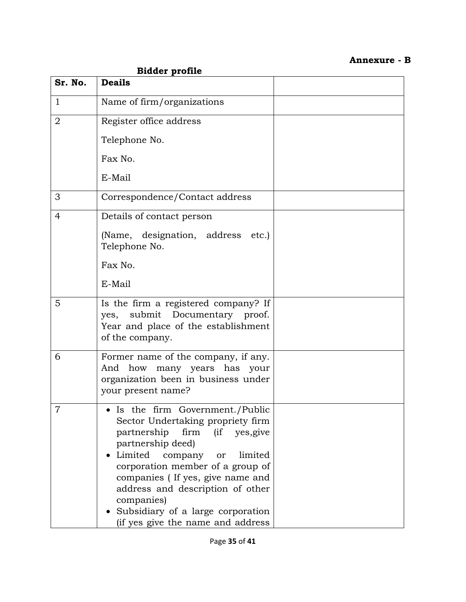# **Annexure - B**

|                | <b>Bidder profile</b>                                                                                                                                                                                                                                                                                                                                                 |  |  |  |  |
|----------------|-----------------------------------------------------------------------------------------------------------------------------------------------------------------------------------------------------------------------------------------------------------------------------------------------------------------------------------------------------------------------|--|--|--|--|
| Sr. No.        | <b>Deails</b>                                                                                                                                                                                                                                                                                                                                                         |  |  |  |  |
| $\mathbf{1}$   | Name of firm/organizations                                                                                                                                                                                                                                                                                                                                            |  |  |  |  |
| $\overline{2}$ | Register office address                                                                                                                                                                                                                                                                                                                                               |  |  |  |  |
|                | Telephone No.                                                                                                                                                                                                                                                                                                                                                         |  |  |  |  |
|                | Fax No.                                                                                                                                                                                                                                                                                                                                                               |  |  |  |  |
|                | E-Mail                                                                                                                                                                                                                                                                                                                                                                |  |  |  |  |
| 3              | Correspondence/Contact address                                                                                                                                                                                                                                                                                                                                        |  |  |  |  |
| $\overline{4}$ | Details of contact person                                                                                                                                                                                                                                                                                                                                             |  |  |  |  |
|                | (Name, designation, address<br>etc.)<br>Telephone No.                                                                                                                                                                                                                                                                                                                 |  |  |  |  |
|                | Fax No.                                                                                                                                                                                                                                                                                                                                                               |  |  |  |  |
|                | E-Mail                                                                                                                                                                                                                                                                                                                                                                |  |  |  |  |
| 5              | Is the firm a registered company? If<br>yes, submit Documentary proof.<br>Year and place of the establishment<br>of the company.                                                                                                                                                                                                                                      |  |  |  |  |
| 6              | Former name of the company, if any.<br>how<br>many years has<br>And<br>your<br>organization been in business under<br>your present name?                                                                                                                                                                                                                              |  |  |  |  |
| 7              | Is the firm Government./Public<br>Sector Undertaking propriety firm<br>partnership<br>firm (if yes, give<br>partnership deed)<br>Limited<br>limited<br>company or<br>corporation member of a group of<br>companies (If yes, give name and<br>address and description of other<br>companies)<br>Subsidiary of a large corporation<br>(if yes give the name and address |  |  |  |  |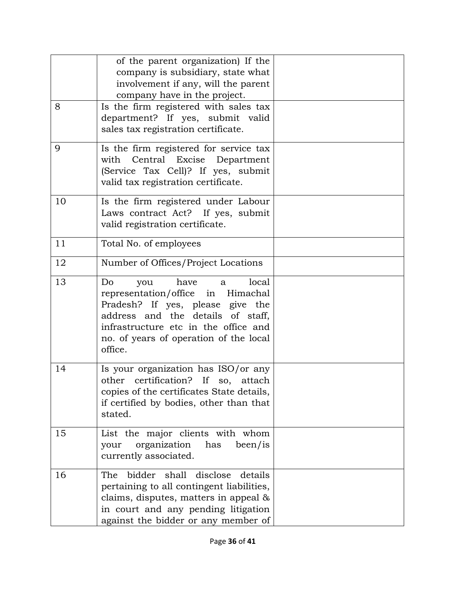|    | of the parent organization) If the<br>company is subsidiary, state what<br>involvement if any, will the parent<br>company have in the project.                                                                                             |  |
|----|--------------------------------------------------------------------------------------------------------------------------------------------------------------------------------------------------------------------------------------------|--|
| 8  | Is the firm registered with sales tax<br>department? If yes, submit valid<br>sales tax registration certificate.                                                                                                                           |  |
| 9  | Is the firm registered for service tax<br>with Central Excise Department<br>(Service Tax Cell)? If yes, submit<br>valid tax registration certificate.                                                                                      |  |
| 10 | Is the firm registered under Labour<br>Laws contract Act? If yes, submit<br>valid registration certificate.                                                                                                                                |  |
| 11 | Total No. of employees                                                                                                                                                                                                                     |  |
| 12 | Number of Offices/Project Locations                                                                                                                                                                                                        |  |
| 13 | Do<br>have<br>local<br>you<br>a<br>representation/office in Himachal<br>Pradesh? If yes, please give the<br>address and the details of staff,<br>infrastructure etc in the office and<br>no. of years of operation of the local<br>office. |  |
| 14 | Is your organization has ISO/or any<br>other certification? If so, attach<br>copies of the certificates State details.<br>if certified by bodies, other than that<br>stated.                                                               |  |
| 15 | List the major clients with whom<br>organization<br>has<br>been/is<br>your<br>currently associated.                                                                                                                                        |  |
| 16 | The bidder shall<br>disclose details<br>pertaining to all contingent liabilities,<br>claims, disputes, matters in appeal &<br>in court and any pending litigation<br>against the bidder or any member of                                   |  |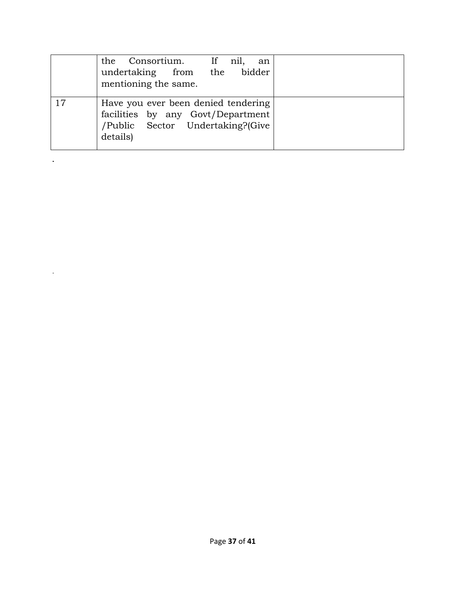|    | the Consortium. If nil,<br>an<br>undertaking from the bidder<br>mentioning the same.                                     |
|----|--------------------------------------------------------------------------------------------------------------------------|
| 17 | Have you ever been denied tendering<br>facilities by any Govt/Department<br>/Public Sector Undertaking?(Give<br>details) |

 $\mathcal{L}$ 

 $\sim$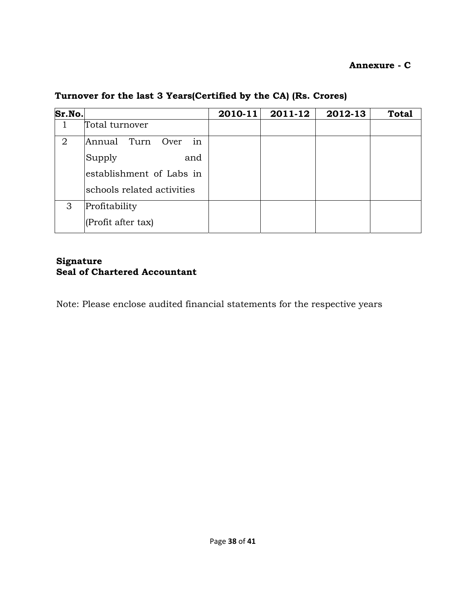### **Annexure - C**

| Sr.No.         |                              | $2010 - 11$ | 2011-12 | 2012-13 | <b>Total</b> |
|----------------|------------------------------|-------------|---------|---------|--------------|
|                | Total turnover               |             |         |         |              |
| $\overline{2}$ | Annual<br>Turn<br>Over<br>in |             |         |         |              |
|                | Supply<br>and                |             |         |         |              |
|                | establishment of Labs in     |             |         |         |              |
|                | schools related activities   |             |         |         |              |
| 3              | Profitability                |             |         |         |              |
|                | (Profit after tax)           |             |         |         |              |

# **Turnover for the last 3 Years(Certified by the CA) (Rs. Crores)**

#### **Signature Seal of Chartered Accountant**

Note: Please enclose audited financial statements for the respective years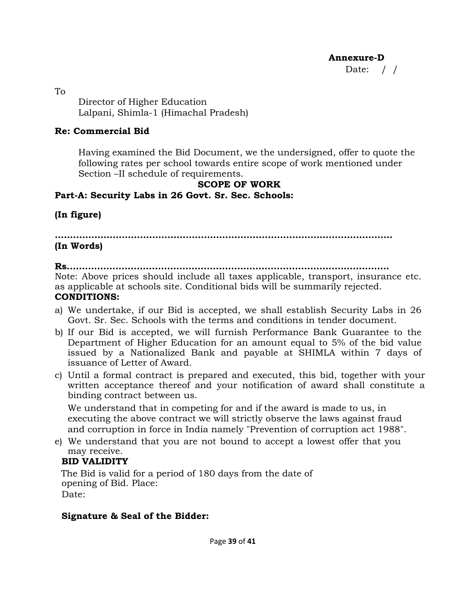**Annexure-D** 

Date: / /

To Director of Higher Education Lalpani, Shimla-1 (Himachal Pradesh)

### **Re: Commercial Bid**

Having examined the Bid Document, we the undersigned, offer to quote the following rates per school towards entire scope of work mentioned under Section –II schedule of requirements.

### **SCOPE OF WORK**

# **Part-A: Security Labs in 26 Govt. Sr. Sec. Schools:**

# **(In figure)**

**…………………………………………………………………………………………………** 

### **(In Words)**

**Rs.……………………………………………………………………………………………** 

Note: Above prices should include all taxes applicable, transport, insurance etc. as applicable at schools site. Conditional bids will be summarily rejected. **CONDITIONS:** 

- a) We undertake, if our Bid is accepted, we shall establish Security Labs in 26 Govt. Sr. Sec. Schools with the terms and conditions in tender document.
- b) If our Bid is accepted, we will furnish Performance Bank Guarantee to the Department of Higher Education for an amount equal to 5% of the bid value issued by a Nationalized Bank and payable at SHIMLA within 7 days of issuance of Letter of Award.
- c) Until a formal contract is prepared and executed, this bid, together with your written acceptance thereof and your notification of award shall constitute a binding contract between us.

We understand that in competing for and if the award is made to us, in executing the above contract we will strictly observe the laws against fraud and corruption in force in India namely "Prevention of corruption act 1988".

e) We understand that you are not bound to accept a lowest offer that you may receive.

# **BID VALIDITY**

The Bid is valid for a period of 180 days from the date of opening of Bid. Place: Date:

### **Signature & Seal of the Bidder:**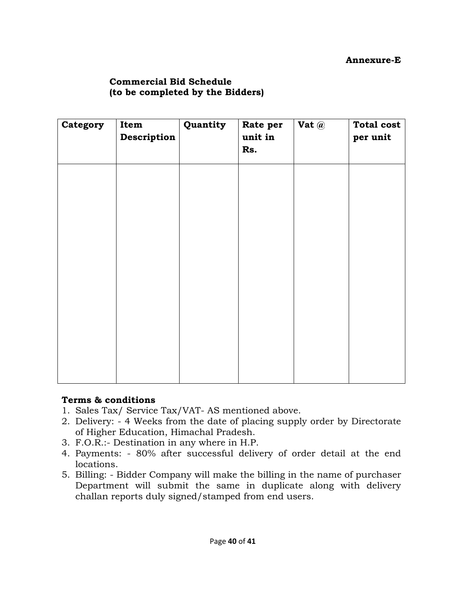### **Commercial Bid Schedule (to be completed by the Bidders)**

| Category | Item        | Quantity | Rate per       | Vat $@$ | <b>Total cost</b> |
|----------|-------------|----------|----------------|---------|-------------------|
|          | Description |          | unit in<br>Rs. |         | per unit          |
|          |             |          |                |         |                   |
|          |             |          |                |         |                   |
|          |             |          |                |         |                   |
|          |             |          |                |         |                   |
|          |             |          |                |         |                   |
|          |             |          |                |         |                   |
|          |             |          |                |         |                   |
|          |             |          |                |         |                   |

#### **Terms & conditions**

- 1. Sales Tax/ Service Tax/VAT- AS mentioned above.
- 2. Delivery: 4 Weeks from the date of placing supply order by Directorate of Higher Education, Himachal Pradesh.
- 3. F.O.R.:- Destination in any where in H.P.
- 4. Payments: 80% after successful delivery of order detail at the end locations.
- 5. Billing: Bidder Company will make the billing in the name of purchaser Department will submit the same in duplicate along with delivery challan reports duly signed/stamped from end users.